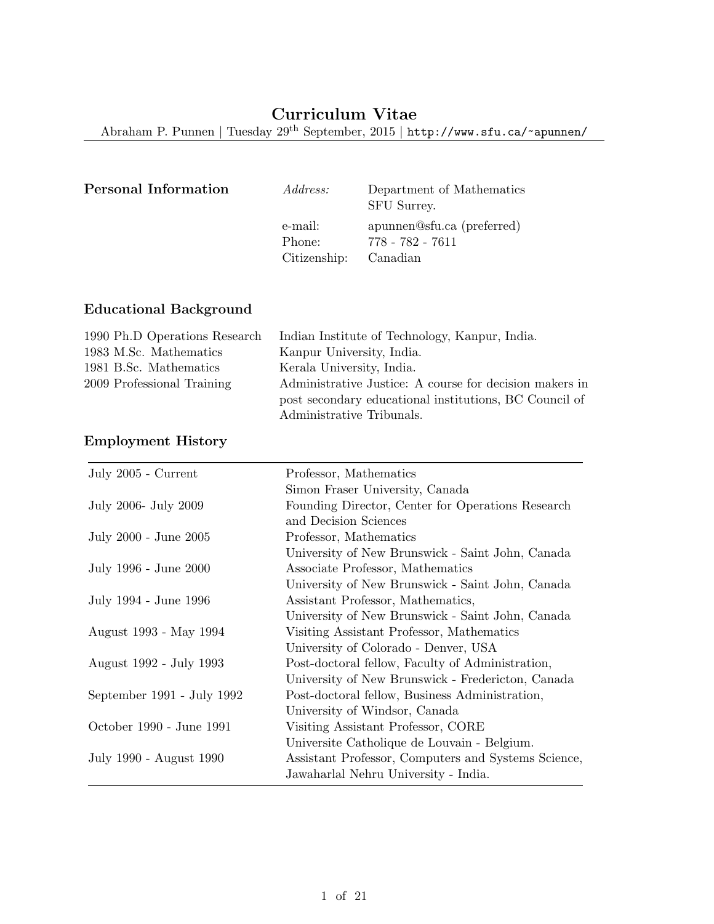Abraham P. Punnen | Tuesday 29th September, 2015 | http://www.sfu.ca/~apunnen/

| Personal Information | <i>Address:</i>                   | Department of Mathematics<br>SFU Surrey.                   |
|----------------------|-----------------------------------|------------------------------------------------------------|
|                      | e-mail:<br>Phone:<br>Citizenship: | apunnen@sfu.ca (preferred)<br>778 - 782 - 7611<br>Canadian |

# Educational Background

| 1990 Ph.D Operations Research | Indian Institute of Technology, Kanpur, India.          |
|-------------------------------|---------------------------------------------------------|
| 1983 M.Sc. Mathematics        | Kanpur University, India.                               |
| 1981 B.Sc. Mathematics        | Kerala University, India.                               |
| 2009 Professional Training    | Administrative Justice: A course for decision makers in |
|                               | post secondary educational institutions, BC Council of  |
|                               | Administrative Tribunals.                               |

# Employment History

| July 2005 - Current        | Professor, Mathematics                              |
|----------------------------|-----------------------------------------------------|
|                            | Simon Fraser University, Canada                     |
| July 2006- July 2009       | Founding Director, Center for Operations Research   |
|                            | and Decision Sciences                               |
| July 2000 - June 2005      | Professor, Mathematics                              |
|                            | University of New Brunswick - Saint John, Canada    |
| July 1996 - June 2000      | Associate Professor, Mathematics                    |
|                            | University of New Brunswick - Saint John, Canada    |
| July 1994 - June 1996      | Assistant Professor, Mathematics,                   |
|                            | University of New Brunswick - Saint John, Canada    |
| August 1993 - May 1994     | Visiting Assistant Professor, Mathematics           |
|                            | University of Colorado - Denver, USA                |
| August 1992 - July 1993    | Post-doctoral fellow, Faculty of Administration,    |
|                            | University of New Brunswick - Fredericton, Canada   |
| September 1991 - July 1992 | Post-doctoral fellow, Business Administration,      |
|                            | University of Windsor, Canada                       |
| October 1990 - June 1991   | Visiting Assistant Professor, CORE                  |
|                            | Universite Catholique de Louvain - Belgium.         |
| July 1990 - August 1990    | Assistant Professor, Computers and Systems Science, |
|                            | Jawaharlal Nehru University - India.                |
|                            |                                                     |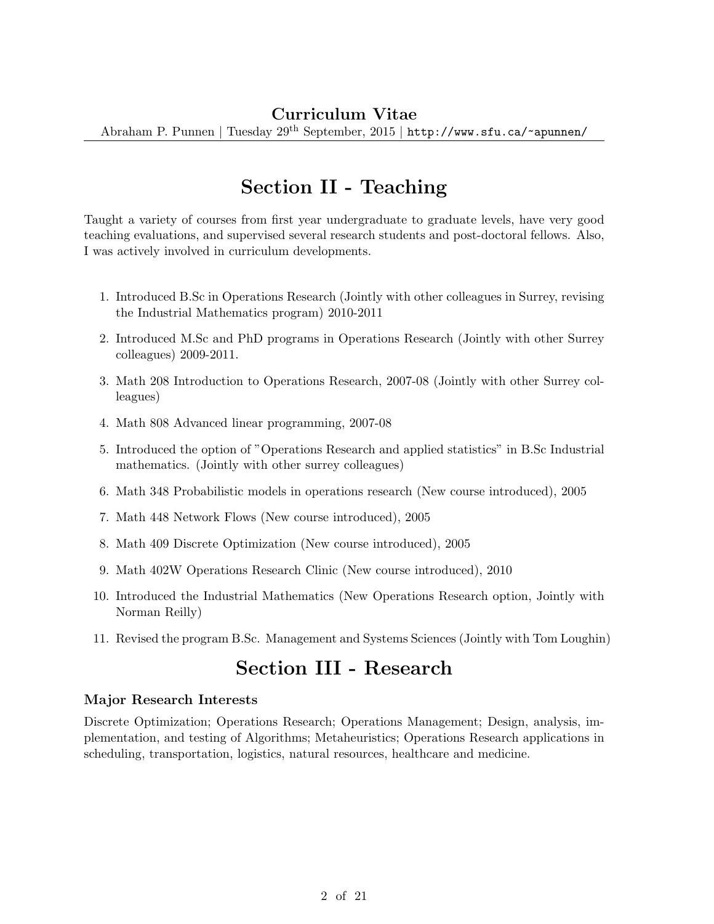# Section II - Teaching

Taught a variety of courses from first year undergraduate to graduate levels, have very good teaching evaluations, and supervised several research students and post-doctoral fellows. Also, I was actively involved in curriculum developments.

- 1. Introduced B.Sc in Operations Research (Jointly with other colleagues in Surrey, revising the Industrial Mathematics program) 2010-2011
- 2. Introduced M.Sc and PhD programs in Operations Research (Jointly with other Surrey colleagues) 2009-2011.
- 3. Math 208 Introduction to Operations Research, 2007-08 (Jointly with other Surrey colleagues)
- 4. Math 808 Advanced linear programming, 2007-08
- 5. Introduced the option of "Operations Research and applied statistics" in B.Sc Industrial mathematics. (Jointly with other surrey colleagues)
- 6. Math 348 Probabilistic models in operations research (New course introduced), 2005
- 7. Math 448 Network Flows (New course introduced), 2005
- 8. Math 409 Discrete Optimization (New course introduced), 2005
- 9. Math 402W Operations Research Clinic (New course introduced), 2010
- 10. Introduced the Industrial Mathematics (New Operations Research option, Jointly with Norman Reilly)
- 11. Revised the program B.Sc. Management and Systems Sciences (Jointly with Tom Loughin)

# Section III - Research

#### Major Research Interests

Discrete Optimization; Operations Research; Operations Management; Design, analysis, implementation, and testing of Algorithms; Metaheuristics; Operations Research applications in scheduling, transportation, logistics, natural resources, healthcare and medicine.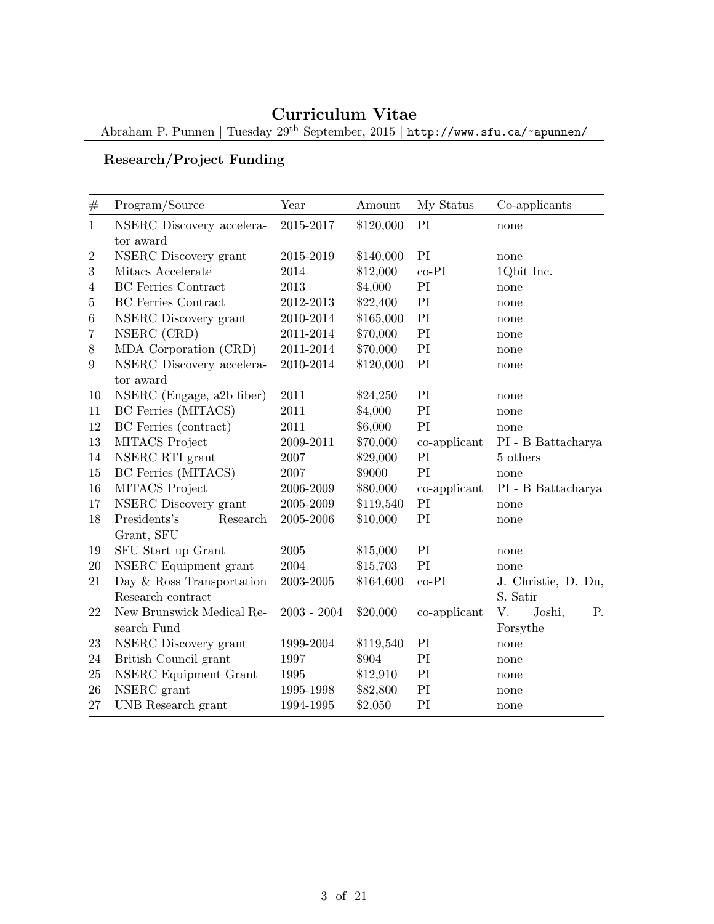Abraham P. Punnen | Tuesday 29th September, 2015 | http://www.sfu.ca/~apunnen/

# Research/Project Funding

| $\#$           | Program/Source             | Year          | Amount    | My Status    | Co-applicants        |  |
|----------------|----------------------------|---------------|-----------|--------------|----------------------|--|
| $\mathbf{1}$   | NSERC Discovery accelera-  | 2015-2017     | \$120,000 | PI           | none                 |  |
|                | tor award                  |               |           |              |                      |  |
| $\overline{2}$ | NSERC Discovery grant      | 2015-2019     | \$140,000 | PI           | none                 |  |
| 3              | Mitacs Accelerate          | 2014          | \$12,000  | $co-PI$      | 1Qbit Inc.           |  |
| $\overline{4}$ | <b>BC</b> Ferries Contract | 2013          | \$4,000   | PI           | none                 |  |
| $\overline{5}$ | <b>BC</b> Ferries Contract | 2012-2013     | \$22,400  | PI           | none                 |  |
| 6              | NSERC Discovery grant      | 2010-2014     | \$165,000 | PI           | none                 |  |
| $\overline{7}$ | NSERC (CRD)                | 2011-2014     | \$70,000  | PI           | none                 |  |
| 8              | MDA Corporation (CRD)      | 2011-2014     | \$70,000  | PI           | none                 |  |
| 9              | NSERC Discovery accelera-  | 2010-2014     | \$120,000 | PI           | none                 |  |
|                | tor award                  |               |           |              |                      |  |
| 10             | NSERC (Engage, a2b fiber)  | 2011          | \$24,250  | PI           | none                 |  |
| 11             | BC Ferries (MITACS)        | 2011          | \$4,000   | PI           | none                 |  |
| 12             | BC Ferries (contract)      | 2011          | \$6,000   | PI           | none                 |  |
| 13             | MITACS Project             | 2009-2011     | \$70,000  | co-applicant | $PI$ - B Battacharya |  |
| 14             | NSERC RTI grant            | 2007          | \$29,000  | PI           | 5 others             |  |
| 15             | BC Ferries (MITACS)        | 2007          | \$9000    | PI           | none                 |  |
| 16             | MITACS Project             | 2006-2009     | \$80,000  | co-applicant | PI - B Battacharya   |  |
| 17             | NSERC Discovery grant      | 2005-2009     | \$119,540 | PI           | none                 |  |
| 18             | Presidents's<br>Research   | 2005-2006     | \$10,000  | PI           | none                 |  |
|                | Grant, SFU                 |               |           |              |                      |  |
| 19             | SFU Start up Grant         | $\,2005\,$    | \$15,000  | PI           | none                 |  |
| 20             | NSERC Equipment grant      | 2004          | \$15,703  | PI           | none                 |  |
| 21             | Day & Ross Transportation  | 2003-2005     | \$164,600 | $co-PI$      | J. Christie, D. Du,  |  |
|                | Research contract          |               |           |              | S. Satir             |  |
| 22             | New Brunswick Medical Re-  | $2003 - 2004$ | \$20,000  | co-applicant | V.<br>Joshi,<br>Ρ.   |  |
|                | search Fund                |               |           |              | Forsythe             |  |
| 23             | NSERC Discovery grant      | 1999-2004     | \$119,540 | PI           | none                 |  |
| 24             | British Council grant      | 1997          | \$904     | PI           | none                 |  |
| 25             | NSERC Equipment Grant      | 1995          | \$12,910  | PI           | none                 |  |
| 26             | NSERC grant                | 1995-1998     | \$82,800  | PI           | none                 |  |
| 27             | UNB Research grant         | 1994-1995     | \$2,050   | PI           | none                 |  |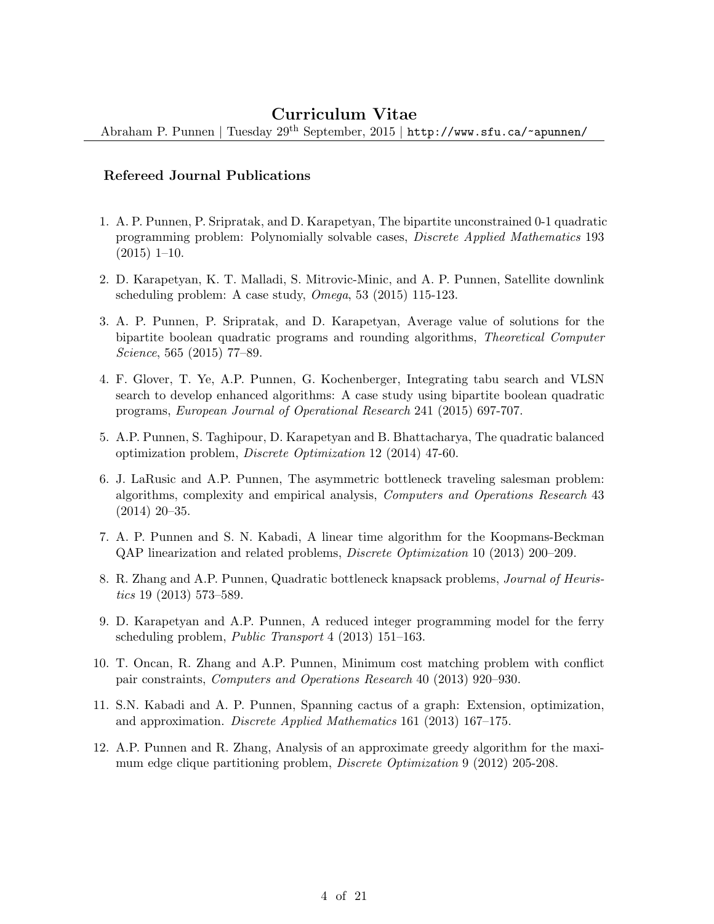Abraham P. Punnen | Tuesday 29th September, 2015 | http://www.sfu.ca/~apunnen/

#### Refereed Journal Publications

- 1. A. P. Punnen, P. Sripratak, and D. Karapetyan, The bipartite unconstrained 0-1 quadratic programming problem: Polynomially solvable cases, Discrete Applied Mathematics 193 (2015) 1–10.
- 2. D. Karapetyan, K. T. Malladi, S. Mitrovic-Minic, and A. P. Punnen, Satellite downlink scheduling problem: A case study, Omega, 53 (2015) 115-123.
- 3. A. P. Punnen, P. Sripratak, and D. Karapetyan, Average value of solutions for the bipartite boolean quadratic programs and rounding algorithms, Theoretical Computer Science, 565 (2015) 77–89.
- 4. F. Glover, T. Ye, A.P. Punnen, G. Kochenberger, Integrating tabu search and VLSN search to develop enhanced algorithms: A case study using bipartite boolean quadratic programs, European Journal of Operational Research 241 (2015) 697-707.
- 5. A.P. Punnen, S. Taghipour, D. Karapetyan and B. Bhattacharya, The quadratic balanced optimization problem, Discrete Optimization 12 (2014) 47-60.
- 6. J. LaRusic and A.P. Punnen, The asymmetric bottleneck traveling salesman problem: algorithms, complexity and empirical analysis, Computers and Operations Research 43 (2014) 20–35.
- 7. A. P. Punnen and S. N. Kabadi, A linear time algorithm for the Koopmans-Beckman QAP linearization and related problems, Discrete Optimization 10 (2013) 200–209.
- 8. R. Zhang and A.P. Punnen, Quadratic bottleneck knapsack problems, Journal of Heuristics 19 (2013) 573–589.
- 9. D. Karapetyan and A.P. Punnen, A reduced integer programming model for the ferry scheduling problem, Public Transport 4 (2013) 151–163.
- 10. T. Oncan, R. Zhang and A.P. Punnen, Minimum cost matching problem with conflict pair constraints, Computers and Operations Research 40 (2013) 920–930.
- 11. S.N. Kabadi and A. P. Punnen, Spanning cactus of a graph: Extension, optimization, and approximation. Discrete Applied Mathematics 161 (2013) 167–175.
- 12. A.P. Punnen and R. Zhang, Analysis of an approximate greedy algorithm for the maximum edge clique partitioning problem, Discrete Optimization 9 (2012) 205-208.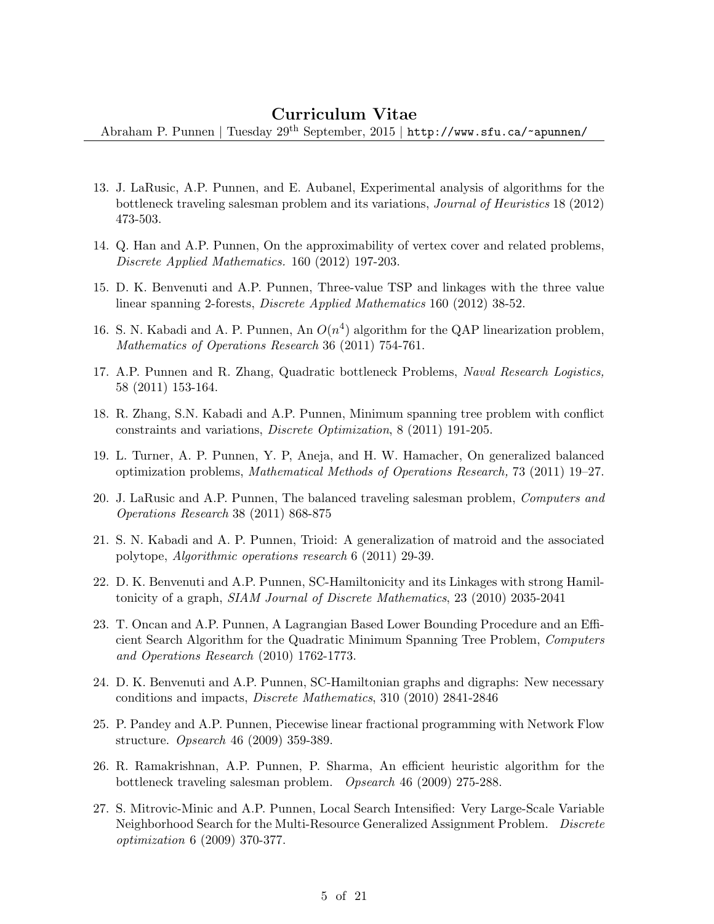- 13. J. LaRusic, A.P. Punnen, and E. Aubanel, Experimental analysis of algorithms for the bottleneck traveling salesman problem and its variations, Journal of Heuristics 18 (2012) 473-503.
- 14. Q. Han and A.P. Punnen, On the approximability of vertex cover and related problems, Discrete Applied Mathematics. 160 (2012) 197-203.
- 15. D. K. Benvenuti and A.P. Punnen, Three-value TSP and linkages with the three value linear spanning 2-forests, Discrete Applied Mathematics 160 (2012) 38-52.
- 16. S. N. Kabadi and A. P. Punnen, An  $O(n^4)$  algorithm for the QAP linearization problem, Mathematics of Operations Research 36 (2011) 754-761.
- 17. A.P. Punnen and R. Zhang, Quadratic bottleneck Problems, Naval Research Logistics, 58 (2011) 153-164.
- 18. R. Zhang, S.N. Kabadi and A.P. Punnen, Minimum spanning tree problem with conflict constraints and variations, Discrete Optimization, 8 (2011) 191-205.
- 19. L. Turner, A. P. Punnen, Y. P, Aneja, and H. W. Hamacher, On generalized balanced optimization problems, Mathematical Methods of Operations Research, 73 (2011) 19–27.
- 20. J. LaRusic and A.P. Punnen, The balanced traveling salesman problem, Computers and Operations Research 38 (2011) 868-875
- 21. S. N. Kabadi and A. P. Punnen, Trioid: A generalization of matroid and the associated polytope, Algorithmic operations research 6 (2011) 29-39.
- 22. D. K. Benvenuti and A.P. Punnen, SC-Hamiltonicity and its Linkages with strong Hamiltonicity of a graph, SIAM Journal of Discrete Mathematics, 23 (2010) 2035-2041
- 23. T. Oncan and A.P. Punnen, A Lagrangian Based Lower Bounding Procedure and an Efficient Search Algorithm for the Quadratic Minimum Spanning Tree Problem, Computers and Operations Research (2010) 1762-1773.
- 24. D. K. Benvenuti and A.P. Punnen, SC-Hamiltonian graphs and digraphs: New necessary conditions and impacts, Discrete Mathematics, 310 (2010) 2841-2846
- 25. P. Pandey and A.P. Punnen, Piecewise linear fractional programming with Network Flow structure. Opsearch 46 (2009) 359-389.
- 26. R. Ramakrishnan, A.P. Punnen, P. Sharma, An efficient heuristic algorithm for the bottleneck traveling salesman problem. Opsearch 46 (2009) 275-288.
- 27. S. Mitrovic-Minic and A.P. Punnen, Local Search Intensified: Very Large-Scale Variable Neighborhood Search for the Multi-Resource Generalized Assignment Problem. Discrete optimization 6 (2009) 370-377.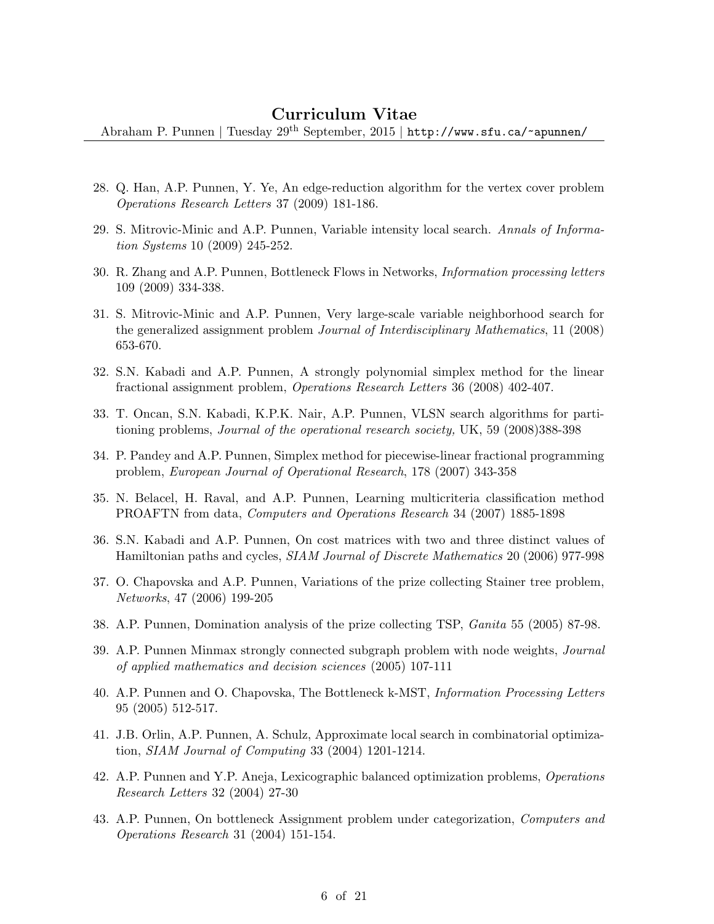- 28. Q. Han, A.P. Punnen, Y. Ye, An edge-reduction algorithm for the vertex cover problem Operations Research Letters 37 (2009) 181-186.
- 29. S. Mitrovic-Minic and A.P. Punnen, Variable intensity local search. Annals of Information Systems 10 (2009) 245-252.
- 30. R. Zhang and A.P. Punnen, Bottleneck Flows in Networks, Information processing letters 109 (2009) 334-338.
- 31. S. Mitrovic-Minic and A.P. Punnen, Very large-scale variable neighborhood search for the generalized assignment problem Journal of Interdisciplinary Mathematics, 11 (2008) 653-670.
- 32. S.N. Kabadi and A.P. Punnen, A strongly polynomial simplex method for the linear fractional assignment problem, Operations Research Letters 36 (2008) 402-407.
- 33. T. Oncan, S.N. Kabadi, K.P.K. Nair, A.P. Punnen, VLSN search algorithms for partitioning problems, Journal of the operational research society, UK, 59 (2008)388-398
- 34. P. Pandey and A.P. Punnen, Simplex method for piecewise-linear fractional programming problem, European Journal of Operational Research, 178 (2007) 343-358
- 35. N. Belacel, H. Raval, and A.P. Punnen, Learning multicriteria classification method PROAFTN from data, Computers and Operations Research 34 (2007) 1885-1898
- 36. S.N. Kabadi and A.P. Punnen, On cost matrices with two and three distinct values of Hamiltonian paths and cycles, SIAM Journal of Discrete Mathematics 20 (2006) 977-998
- 37. O. Chapovska and A.P. Punnen, Variations of the prize collecting Stainer tree problem, Networks, 47 (2006) 199-205
- 38. A.P. Punnen, Domination analysis of the prize collecting TSP, Ganita 55 (2005) 87-98.
- 39. A.P. Punnen Minmax strongly connected subgraph problem with node weights, Journal of applied mathematics and decision sciences (2005) 107-111
- 40. A.P. Punnen and O. Chapovska, The Bottleneck k-MST, Information Processing Letters 95 (2005) 512-517.
- 41. J.B. Orlin, A.P. Punnen, A. Schulz, Approximate local search in combinatorial optimization, SIAM Journal of Computing 33 (2004) 1201-1214.
- 42. A.P. Punnen and Y.P. Aneja, Lexicographic balanced optimization problems, Operations Research Letters 32 (2004) 27-30
- 43. A.P. Punnen, On bottleneck Assignment problem under categorization, Computers and Operations Research 31 (2004) 151-154.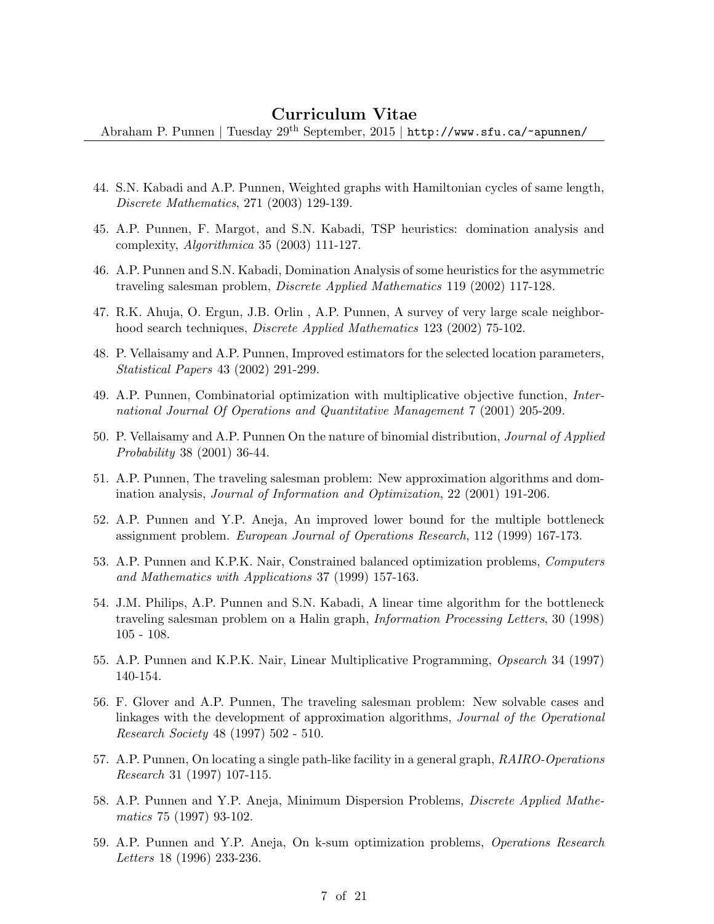- 44. S.N. Kabadi and A.P. Punnen, Weighted graphs with Hamiltonian cycles of same length, Discrete Mathematics, 271 (2003) 129-139.
- 45. A.P. Punnen, F. Margot, and S.N. Kabadi, TSP heuristics: domination analysis and complexity, Algorithmica 35 (2003) 111-127.
- 46. A.P. Punnen and S.N. Kabadi, Domination Analysis of some heuristics for the asymmetric traveling salesman problem, Discrete Applied Mathematics 119 (2002) 117-128.
- 47. R.K. Ahuja, O. Ergun, J.B. Orlin , A.P. Punnen, A survey of very large scale neighborhood search techniques, Discrete Applied Mathematics 123 (2002) 75-102.
- 48. P. Vellaisamy and A.P. Punnen, Improved estimators for the selected location parameters, Statistical Papers 43 (2002) 291-299.
- 49. A.P. Punnen, Combinatorial optimization with multiplicative objective function, International Journal Of Operations and Quantitative Management 7 (2001) 205-209.
- 50. P. Vellaisamy and A.P. Punnen On the nature of binomial distribution, Journal of Applied Probability 38 (2001) 36-44.
- 51. A.P. Punnen, The traveling salesman problem: New approximation algorithms and domination analysis, Journal of Information and Optimization, 22 (2001) 191-206.
- 52. A.P. Punnen and Y.P. Aneja, An improved lower bound for the multiple bottleneck assignment problem. European Journal of Operations Research, 112 (1999) 167-173.
- 53. A.P. Punnen and K.P.K. Nair, Constrained balanced optimization problems, Computers and Mathematics with Applications 37 (1999) 157-163.
- 54. J.M. Philips, A.P. Punnen and S.N. Kabadi, A linear time algorithm for the bottleneck traveling salesman problem on a Halin graph, Information Processing Letters, 30 (1998) 105 - 108.
- 55. A.P. Punnen and K.P.K. Nair, Linear Multiplicative Programming, Opsearch 34 (1997) 140-154.
- 56. F. Glover and A.P. Punnen, The traveling salesman problem: New solvable cases and linkages with the development of approximation algorithms, Journal of the Operational Research Society 48 (1997) 502 - 510.
- 57. A.P. Punnen, On locating a single path-like facility in a general graph, RAIRO-Operations Research 31 (1997) 107-115.
- 58. A.P. Punnen and Y.P. Aneja, Minimum Dispersion Problems, Discrete Applied Mathematics 75 (1997) 93-102.
- 59. A.P. Punnen and Y.P. Aneja, On k-sum optimization problems, Operations Research Letters 18 (1996) 233-236.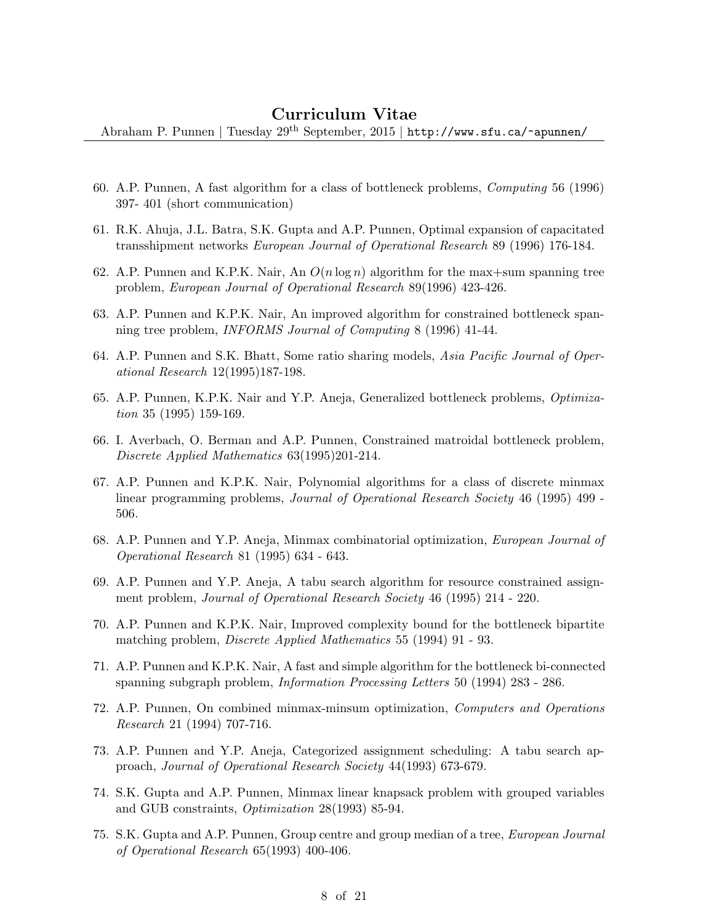- 60. A.P. Punnen, A fast algorithm for a class of bottleneck problems, Computing 56 (1996) 397- 401 (short communication)
- 61. R.K. Ahuja, J.L. Batra, S.K. Gupta and A.P. Punnen, Optimal expansion of capacitated transshipment networks European Journal of Operational Research 89 (1996) 176-184.
- 62. A.P. Punnen and K.P.K. Nair, An  $O(n \log n)$  algorithm for the max+sum spanning tree problem, European Journal of Operational Research 89(1996) 423-426.
- 63. A.P. Punnen and K.P.K. Nair, An improved algorithm for constrained bottleneck spanning tree problem, INFORMS Journal of Computing 8 (1996) 41-44.
- 64. A.P. Punnen and S.K. Bhatt, Some ratio sharing models, Asia Pacific Journal of Operational Research 12(1995)187-198.
- 65. A.P. Punnen, K.P.K. Nair and Y.P. Aneja, Generalized bottleneck problems, Optimization 35 (1995) 159-169.
- 66. I. Averbach, O. Berman and A.P. Punnen, Constrained matroidal bottleneck problem, Discrete Applied Mathematics 63(1995)201-214.
- 67. A.P. Punnen and K.P.K. Nair, Polynomial algorithms for a class of discrete minmax linear programming problems, Journal of Operational Research Society 46 (1995) 499 - 506.
- 68. A.P. Punnen and Y.P. Aneja, Minmax combinatorial optimization, European Journal of Operational Research 81 (1995) 634 - 643.
- 69. A.P. Punnen and Y.P. Aneja, A tabu search algorithm for resource constrained assignment problem, Journal of Operational Research Society 46 (1995) 214 - 220.
- 70. A.P. Punnen and K.P.K. Nair, Improved complexity bound for the bottleneck bipartite matching problem, Discrete Applied Mathematics 55 (1994) 91 - 93.
- 71. A.P. Punnen and K.P.K. Nair, A fast and simple algorithm for the bottleneck bi-connected spanning subgraph problem, Information Processing Letters 50 (1994) 283 - 286.
- 72. A.P. Punnen, On combined minmax-minsum optimization, Computers and Operations Research 21 (1994) 707-716.
- 73. A.P. Punnen and Y.P. Aneja, Categorized assignment scheduling: A tabu search approach, Journal of Operational Research Society 44(1993) 673-679.
- 74. S.K. Gupta and A.P. Punnen, Minmax linear knapsack problem with grouped variables and GUB constraints, Optimization 28(1993) 85-94.
- 75. S.K. Gupta and A.P. Punnen, Group centre and group median of a tree, European Journal of Operational Research 65(1993) 400-406.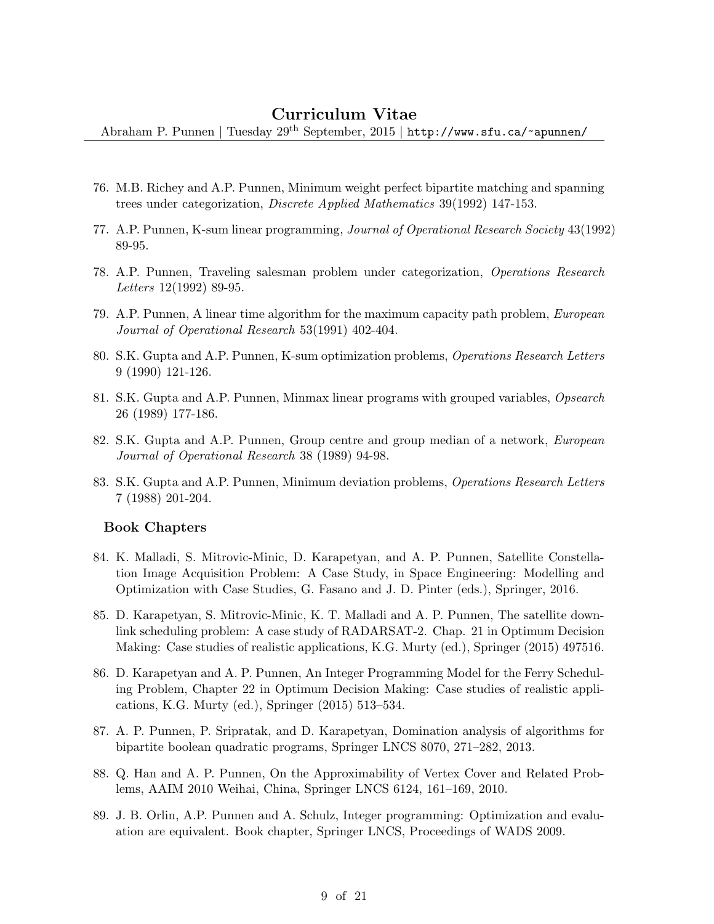Abraham P. Punnen | Tuesday 29th September, 2015 | http://www.sfu.ca/~apunnen/

- 76. M.B. Richey and A.P. Punnen, Minimum weight perfect bipartite matching and spanning trees under categorization, Discrete Applied Mathematics 39(1992) 147-153.
- 77. A.P. Punnen, K-sum linear programming, Journal of Operational Research Society 43(1992) 89-95.
- 78. A.P. Punnen, Traveling salesman problem under categorization, Operations Research Letters 12(1992) 89-95.
- 79. A.P. Punnen, A linear time algorithm for the maximum capacity path problem, European Journal of Operational Research 53(1991) 402-404.
- 80. S.K. Gupta and A.P. Punnen, K-sum optimization problems, Operations Research Letters 9 (1990) 121-126.
- 81. S.K. Gupta and A.P. Punnen, Minmax linear programs with grouped variables, Opsearch 26 (1989) 177-186.
- 82. S.K. Gupta and A.P. Punnen, Group centre and group median of a network, European Journal of Operational Research 38 (1989) 94-98.
- 83. S.K. Gupta and A.P. Punnen, Minimum deviation problems, Operations Research Letters 7 (1988) 201-204.

#### Book Chapters

- 84. K. Malladi, S. Mitrovic-Minic, D. Karapetyan, and A. P. Punnen, Satellite Constellation Image Acquisition Problem: A Case Study, in Space Engineering: Modelling and Optimization with Case Studies, G. Fasano and J. D. Pinter (eds.), Springer, 2016.
- 85. D. Karapetyan, S. Mitrovic-Minic, K. T. Malladi and A. P. Punnen, The satellite downlink scheduling problem: A case study of RADARSAT-2. Chap. 21 in Optimum Decision Making: Case studies of realistic applications, K.G. Murty (ed.), Springer (2015) 497516.
- 86. D. Karapetyan and A. P. Punnen, An Integer Programming Model for the Ferry Scheduling Problem, Chapter 22 in Optimum Decision Making: Case studies of realistic applications, K.G. Murty (ed.), Springer (2015) 513–534.
- 87. A. P. Punnen, P. Sripratak, and D. Karapetyan, Domination analysis of algorithms for bipartite boolean quadratic programs, Springer LNCS 8070, 271–282, 2013.
- 88. Q. Han and A. P. Punnen, On the Approximability of Vertex Cover and Related Problems, AAIM 2010 Weihai, China, Springer LNCS 6124, 161–169, 2010.
- 89. J. B. Orlin, A.P. Punnen and A. Schulz, Integer programming: Optimization and evaluation are equivalent. Book chapter, Springer LNCS, Proceedings of WADS 2009.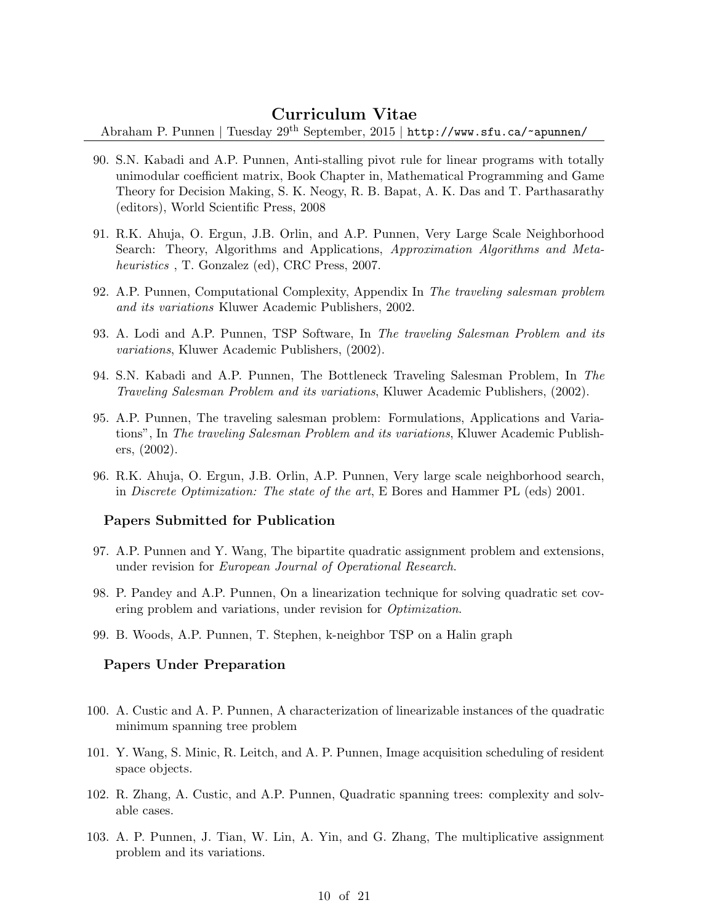Abraham P. Punnen | Tuesday 29th September, 2015 | http://www.sfu.ca/~apunnen/

- 90. S.N. Kabadi and A.P. Punnen, Anti-stalling pivot rule for linear programs with totally unimodular coefficient matrix, Book Chapter in, Mathematical Programming and Game Theory for Decision Making, S. K. Neogy, R. B. Bapat, A. K. Das and T. Parthasarathy (editors), World Scientific Press, 2008
- 91. R.K. Ahuja, O. Ergun, J.B. Orlin, and A.P. Punnen, Very Large Scale Neighborhood Search: Theory, Algorithms and Applications, Approximation Algorithms and Metaheuristics, T. Gonzalez (ed), CRC Press, 2007.
- 92. A.P. Punnen, Computational Complexity, Appendix In The traveling salesman problem and its variations Kluwer Academic Publishers, 2002.
- 93. A. Lodi and A.P. Punnen, TSP Software, In The traveling Salesman Problem and its variations, Kluwer Academic Publishers, (2002).
- 94. S.N. Kabadi and A.P. Punnen, The Bottleneck Traveling Salesman Problem, In The Traveling Salesman Problem and its variations, Kluwer Academic Publishers, (2002).
- 95. A.P. Punnen, The traveling salesman problem: Formulations, Applications and Variations", In The traveling Salesman Problem and its variations, Kluwer Academic Publishers, (2002).
- 96. R.K. Ahuja, O. Ergun, J.B. Orlin, A.P. Punnen, Very large scale neighborhood search, in Discrete Optimization: The state of the art, E Bores and Hammer PL (eds) 2001.

#### Papers Submitted for Publication

- 97. A.P. Punnen and Y. Wang, The bipartite quadratic assignment problem and extensions, under revision for European Journal of Operational Research.
- 98. P. Pandey and A.P. Punnen, On a linearization technique for solving quadratic set covering problem and variations, under revision for *Optimization*.
- 99. B. Woods, A.P. Punnen, T. Stephen, k-neighbor TSP on a Halin graph

#### Papers Under Preparation

- 100. A. Custic and A. P. Punnen, A characterization of linearizable instances of the quadratic minimum spanning tree problem
- 101. Y. Wang, S. Minic, R. Leitch, and A. P. Punnen, Image acquisition scheduling of resident space objects.
- 102. R. Zhang, A. Custic, and A.P. Punnen, Quadratic spanning trees: complexity and solvable cases.
- 103. A. P. Punnen, J. Tian, W. Lin, A. Yin, and G. Zhang, The multiplicative assignment problem and its variations.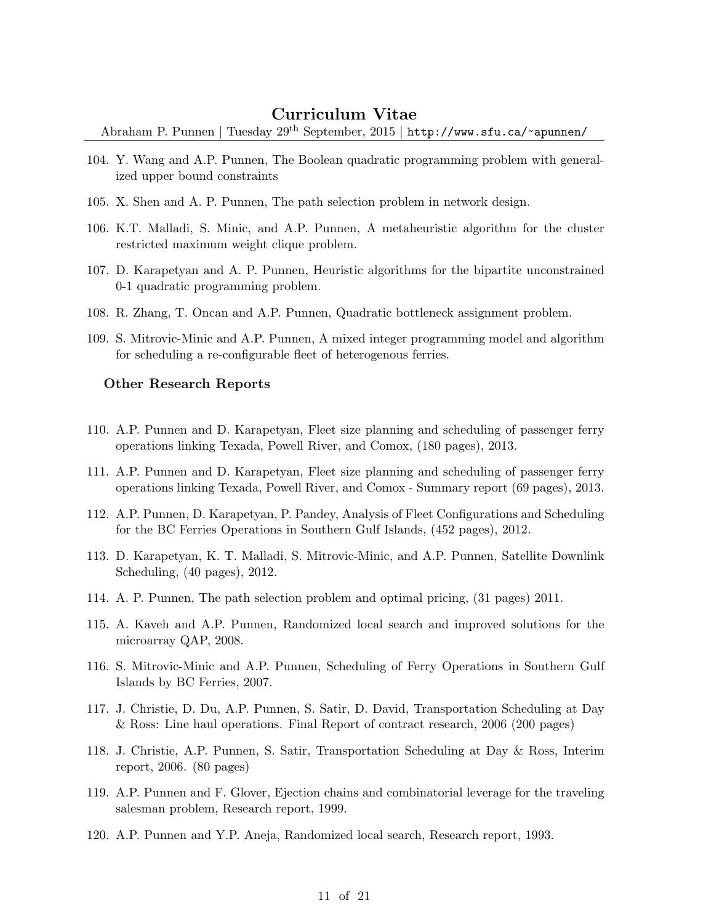Abraham P. Punnen | Tuesday 29th September, 2015 | http://www.sfu.ca/~apunnen/

- 104. Y. Wang and A.P. Punnen, The Boolean quadratic programming problem with generalized upper bound constraints
- 105. X. Shen and A. P. Punnen, The path selection problem in network design.
- 106. K.T. Malladi, S. Minic, and A.P. Punnen, A metaheuristic algorithm for the cluster restricted maximum weight clique problem.
- 107. D. Karapetyan and A. P. Punnen, Heuristic algorithms for the bipartite unconstrained 0-1 quadratic programming problem.
- 108. R. Zhang, T. Oncan and A.P. Punnen, Quadratic bottleneck assignment problem.
- 109. S. Mitrovic-Minic and A.P. Punnen, A mixed integer programming model and algorithm for scheduling a re-configurable fleet of heterogenous ferries.

#### Other Research Reports

- 110. A.P. Punnen and D. Karapetyan, Fleet size planning and scheduling of passenger ferry operations linking Texada, Powell River, and Comox, (180 pages), 2013.
- 111. A.P. Punnen and D. Karapetyan, Fleet size planning and scheduling of passenger ferry operations linking Texada, Powell River, and Comox - Summary report (69 pages), 2013.
- 112. A.P. Punnen, D. Karapetyan, P. Pandey, Analysis of Fleet Configurations and Scheduling for the BC Ferries Operations in Southern Gulf Islands, (452 pages), 2012.
- 113. D. Karapetyan, K. T. Malladi, S. Mitrovic-Minic, and A.P. Punnen, Satellite Downlink Scheduling, (40 pages), 2012.
- 114. A. P. Punnen, The path selection problem and optimal pricing, (31 pages) 2011.
- 115. A. Kaveh and A.P. Punnen, Randomized local search and improved solutions for the microarray QAP, 2008.
- 116. S. Mitrovic-Minic and A.P. Punnen, Scheduling of Ferry Operations in Southern Gulf Islands by BC Ferries, 2007.
- 117. J. Christie, D. Du, A.P. Punnen, S. Satir, D. David, Transportation Scheduling at Day & Ross: Line haul operations. Final Report of contract research, 2006 (200 pages)
- 118. J. Christie, A.P. Punnen, S. Satir, Transportation Scheduling at Day & Ross, Interim report, 2006. (80 pages)
- 119. A.P. Punnen and F. Glover, Ejection chains and combinatorial leverage for the traveling salesman problem, Research report, 1999.
- 120. A.P. Punnen and Y.P. Aneja, Randomized local search, Research report, 1993.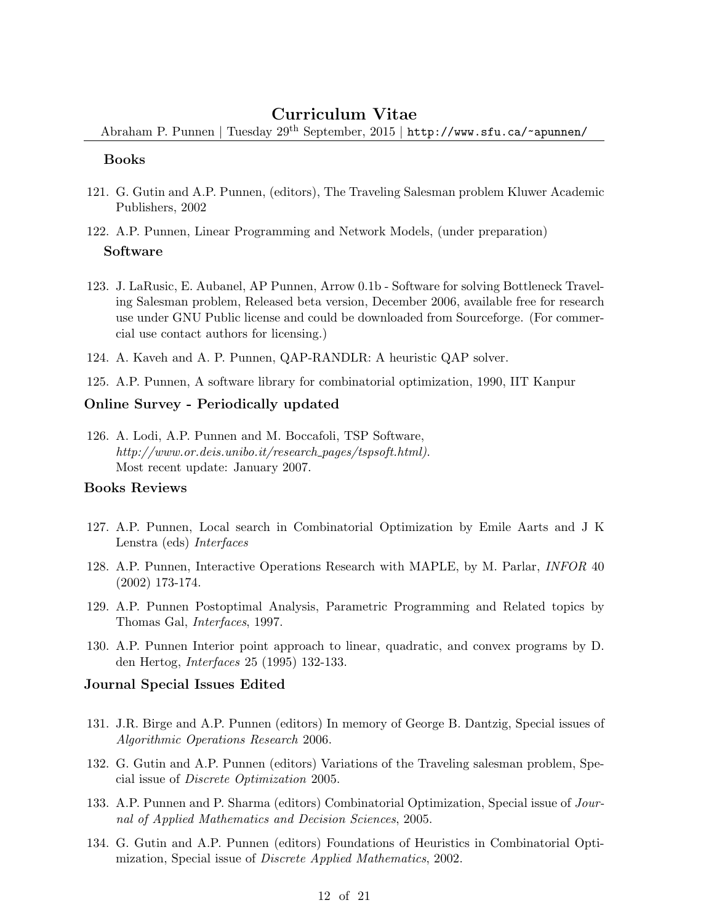Abraham P. Punnen | Tuesday 29th September, 2015 | http://www.sfu.ca/~apunnen/

#### Books

- 121. G. Gutin and A.P. Punnen, (editors), The Traveling Salesman problem Kluwer Academic Publishers, 2002
- 122. A.P. Punnen, Linear Programming and Network Models, (under preparation) Software
- 123. J. LaRusic, E. Aubanel, AP Punnen, Arrow 0.1b Software for solving Bottleneck Traveling Salesman problem, Released beta version, December 2006, available free for research use under GNU Public license and could be downloaded from Sourceforge. (For commercial use contact authors for licensing.)
- 124. A. Kaveh and A. P. Punnen, QAP-RANDLR: A heuristic QAP solver.

125. A.P. Punnen, A software library for combinatorial optimization, 1990, IIT Kanpur

#### Online Survey - Periodically updated

126. A. Lodi, A.P. Punnen and M. Boccafoli, TSP Software, http://www.or.deis.unibo.it/research\_pages/tspsoft.html). Most recent update: January 2007.

#### Books Reviews

- 127. A.P. Punnen, Local search in Combinatorial Optimization by Emile Aarts and J K Lenstra (eds) Interfaces
- 128. A.P. Punnen, Interactive Operations Research with MAPLE, by M. Parlar, INFOR 40 (2002) 173-174.
- 129. A.P. Punnen Postoptimal Analysis, Parametric Programming and Related topics by Thomas Gal, Interfaces, 1997.
- 130. A.P. Punnen Interior point approach to linear, quadratic, and convex programs by D. den Hertog, Interfaces 25 (1995) 132-133.

#### Journal Special Issues Edited

- 131. J.R. Birge and A.P. Punnen (editors) In memory of George B. Dantzig, Special issues of Algorithmic Operations Research 2006.
- 132. G. Gutin and A.P. Punnen (editors) Variations of the Traveling salesman problem, Special issue of Discrete Optimization 2005.
- 133. A.P. Punnen and P. Sharma (editors) Combinatorial Optimization, Special issue of Journal of Applied Mathematics and Decision Sciences, 2005.
- 134. G. Gutin and A.P. Punnen (editors) Foundations of Heuristics in Combinatorial Optimization, Special issue of Discrete Applied Mathematics, 2002.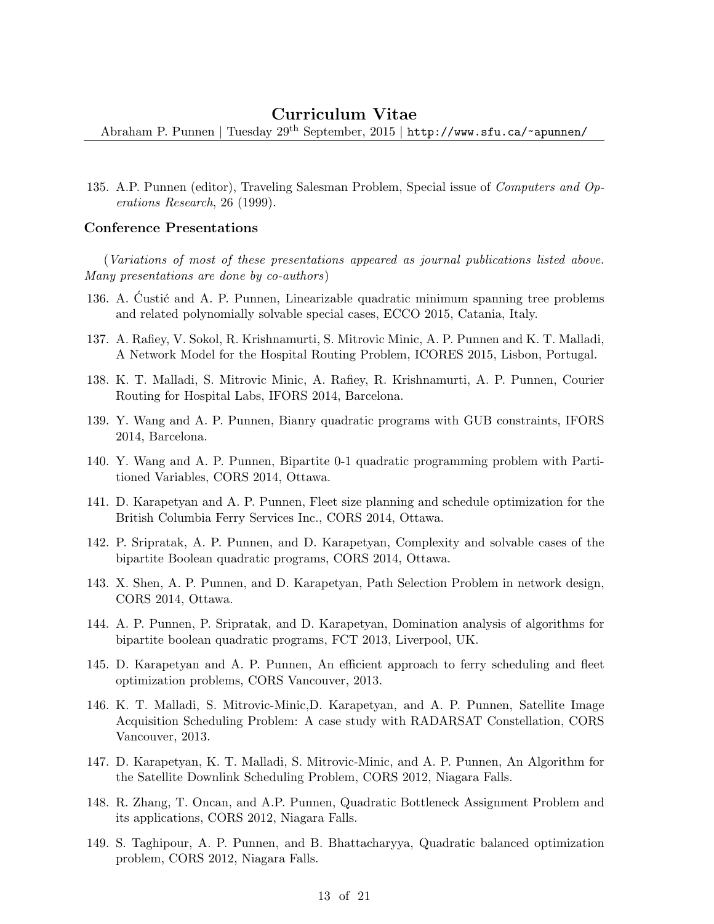Abraham P. Punnen | Tuesday 29th September, 2015 | http://www.sfu.ca/~apunnen/

135. A.P. Punnen (editor), Traveling Salesman Problem, Special issue of Computers and Operations Research, 26 (1999).

#### Conference Presentations

(Variations of most of these presentations appeared as journal publications listed above. Many presentations are done by co-authors)

- 136. A. Custić and A. P. Punnen, Linearizable quadratic minimum spanning tree problems and related polynomially solvable special cases, ECCO 2015, Catania, Italy.
- 137. A. Rafiey, V. Sokol, R. Krishnamurti, S. Mitrovic Minic, A. P. Punnen and K. T. Malladi, A Network Model for the Hospital Routing Problem, ICORES 2015, Lisbon, Portugal.
- 138. K. T. Malladi, S. Mitrovic Minic, A. Rafiey, R. Krishnamurti, A. P. Punnen, Courier Routing for Hospital Labs, IFORS 2014, Barcelona.
- 139. Y. Wang and A. P. Punnen, Bianry quadratic programs with GUB constraints, IFORS 2014, Barcelona.
- 140. Y. Wang and A. P. Punnen, Bipartite 0-1 quadratic programming problem with Partitioned Variables, CORS 2014, Ottawa.
- 141. D. Karapetyan and A. P. Punnen, Fleet size planning and schedule optimization for the British Columbia Ferry Services Inc., CORS 2014, Ottawa.
- 142. P. Sripratak, A. P. Punnen, and D. Karapetyan, Complexity and solvable cases of the bipartite Boolean quadratic programs, CORS 2014, Ottawa.
- 143. X. Shen, A. P. Punnen, and D. Karapetyan, Path Selection Problem in network design, CORS 2014, Ottawa.
- 144. A. P. Punnen, P. Sripratak, and D. Karapetyan, Domination analysis of algorithms for bipartite boolean quadratic programs, FCT 2013, Liverpool, UK.
- 145. D. Karapetyan and A. P. Punnen, An efficient approach to ferry scheduling and fleet optimization problems, CORS Vancouver, 2013.
- 146. K. T. Malladi, S. Mitrovic-Minic,D. Karapetyan, and A. P. Punnen, Satellite Image Acquisition Scheduling Problem: A case study with RADARSAT Constellation, CORS Vancouver, 2013.
- 147. D. Karapetyan, K. T. Malladi, S. Mitrovic-Minic, and A. P. Punnen, An Algorithm for the Satellite Downlink Scheduling Problem, CORS 2012, Niagara Falls.
- 148. R. Zhang, T. Oncan, and A.P. Punnen, Quadratic Bottleneck Assignment Problem and its applications, CORS 2012, Niagara Falls.
- 149. S. Taghipour, A. P. Punnen, and B. Bhattacharyya, Quadratic balanced optimization problem, CORS 2012, Niagara Falls.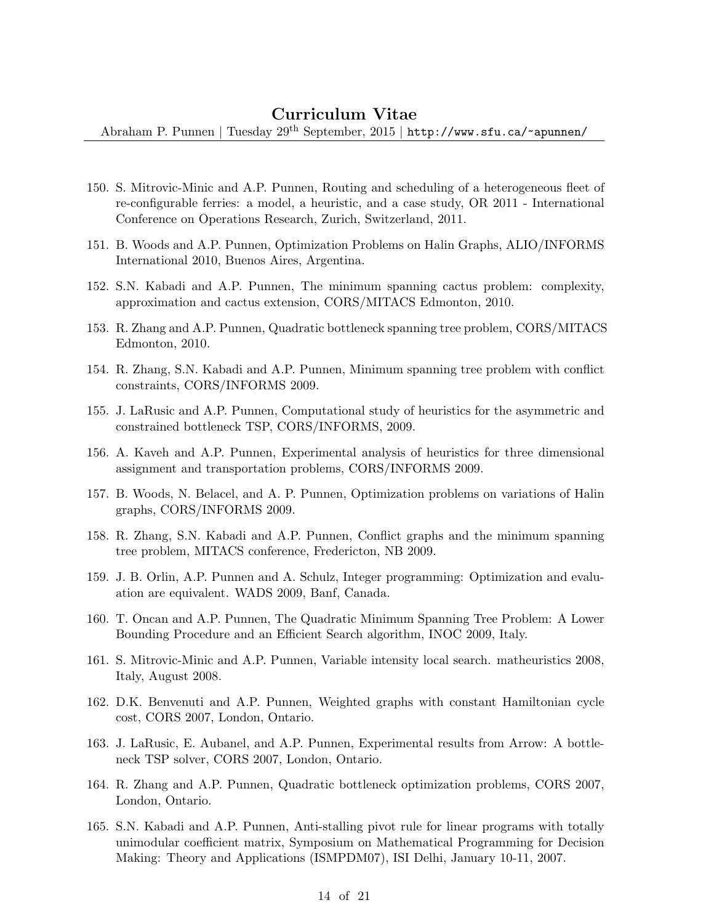- 150. S. Mitrovic-Minic and A.P. Punnen, Routing and scheduling of a heterogeneous fleet of re-configurable ferries: a model, a heuristic, and a case study, OR 2011 - International Conference on Operations Research, Zurich, Switzerland, 2011.
- 151. B. Woods and A.P. Punnen, Optimization Problems on Halin Graphs, ALIO/INFORMS International 2010, Buenos Aires, Argentina.
- 152. S.N. Kabadi and A.P. Punnen, The minimum spanning cactus problem: complexity, approximation and cactus extension, CORS/MITACS Edmonton, 2010.
- 153. R. Zhang and A.P. Punnen, Quadratic bottleneck spanning tree problem, CORS/MITACS Edmonton, 2010.
- 154. R. Zhang, S.N. Kabadi and A.P. Punnen, Minimum spanning tree problem with conflict constraints, CORS/INFORMS 2009.
- 155. J. LaRusic and A.P. Punnen, Computational study of heuristics for the asymmetric and constrained bottleneck TSP, CORS/INFORMS, 2009.
- 156. A. Kaveh and A.P. Punnen, Experimental analysis of heuristics for three dimensional assignment and transportation problems, CORS/INFORMS 2009.
- 157. B. Woods, N. Belacel, and A. P. Punnen, Optimization problems on variations of Halin graphs, CORS/INFORMS 2009.
- 158. R. Zhang, S.N. Kabadi and A.P. Punnen, Conflict graphs and the minimum spanning tree problem, MITACS conference, Fredericton, NB 2009.
- 159. J. B. Orlin, A.P. Punnen and A. Schulz, Integer programming: Optimization and evaluation are equivalent. WADS 2009, Banf, Canada.
- 160. T. Oncan and A.P. Punnen, The Quadratic Minimum Spanning Tree Problem: A Lower Bounding Procedure and an Efficient Search algorithm, INOC 2009, Italy.
- 161. S. Mitrovic-Minic and A.P. Punnen, Variable intensity local search. matheuristics 2008, Italy, August 2008.
- 162. D.K. Benvenuti and A.P. Punnen, Weighted graphs with constant Hamiltonian cycle cost, CORS 2007, London, Ontario.
- 163. J. LaRusic, E. Aubanel, and A.P. Punnen, Experimental results from Arrow: A bottleneck TSP solver, CORS 2007, London, Ontario.
- 164. R. Zhang and A.P. Punnen, Quadratic bottleneck optimization problems, CORS 2007, London, Ontario.
- 165. S.N. Kabadi and A.P. Punnen, Anti-stalling pivot rule for linear programs with totally unimodular coefficient matrix, Symposium on Mathematical Programming for Decision Making: Theory and Applications (ISMPDM07), ISI Delhi, January 10-11, 2007.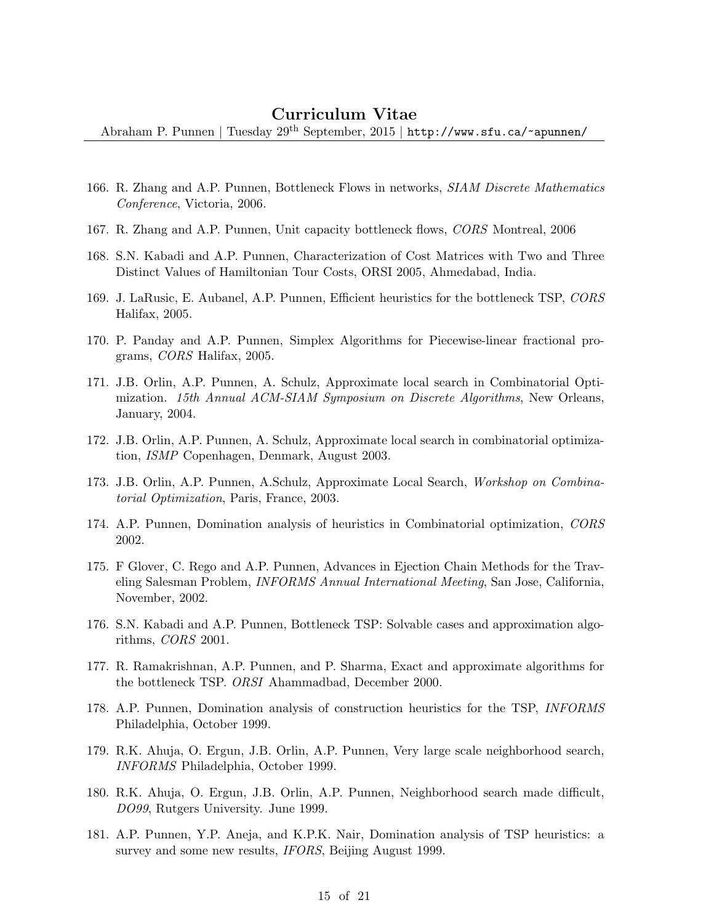- 166. R. Zhang and A.P. Punnen, Bottleneck Flows in networks, SIAM Discrete Mathematics Conference, Victoria, 2006.
- 167. R. Zhang and A.P. Punnen, Unit capacity bottleneck flows, CORS Montreal, 2006
- 168. S.N. Kabadi and A.P. Punnen, Characterization of Cost Matrices with Two and Three Distinct Values of Hamiltonian Tour Costs, ORSI 2005, Ahmedabad, India.
- 169. J. LaRusic, E. Aubanel, A.P. Punnen, Efficient heuristics for the bottleneck TSP, CORS Halifax, 2005.
- 170. P. Panday and A.P. Punnen, Simplex Algorithms for Piecewise-linear fractional programs, CORS Halifax, 2005.
- 171. J.B. Orlin, A.P. Punnen, A. Schulz, Approximate local search in Combinatorial Optimization. 15th Annual ACM-SIAM Symposium on Discrete Algorithms, New Orleans, January, 2004.
- 172. J.B. Orlin, A.P. Punnen, A. Schulz, Approximate local search in combinatorial optimization, ISMP Copenhagen, Denmark, August 2003.
- 173. J.B. Orlin, A.P. Punnen, A.Schulz, Approximate Local Search, Workshop on Combinatorial Optimization, Paris, France, 2003.
- 174. A.P. Punnen, Domination analysis of heuristics in Combinatorial optimization, CORS 2002.
- 175. F Glover, C. Rego and A.P. Punnen, Advances in Ejection Chain Methods for the Traveling Salesman Problem, INFORMS Annual International Meeting, San Jose, California, November, 2002.
- 176. S.N. Kabadi and A.P. Punnen, Bottleneck TSP: Solvable cases and approximation algorithms, CORS 2001.
- 177. R. Ramakrishnan, A.P. Punnen, and P. Sharma, Exact and approximate algorithms for the bottleneck TSP. ORSI Ahammadbad, December 2000.
- 178. A.P. Punnen, Domination analysis of construction heuristics for the TSP, INFORMS Philadelphia, October 1999.
- 179. R.K. Ahuja, O. Ergun, J.B. Orlin, A.P. Punnen, Very large scale neighborhood search, INFORMS Philadelphia, October 1999.
- 180. R.K. Ahuja, O. Ergun, J.B. Orlin, A.P. Punnen, Neighborhood search made difficult, DO99, Rutgers University. June 1999.
- 181. A.P. Punnen, Y.P. Aneja, and K.P.K. Nair, Domination analysis of TSP heuristics: a survey and some new results, *IFORS*, Beijing August 1999.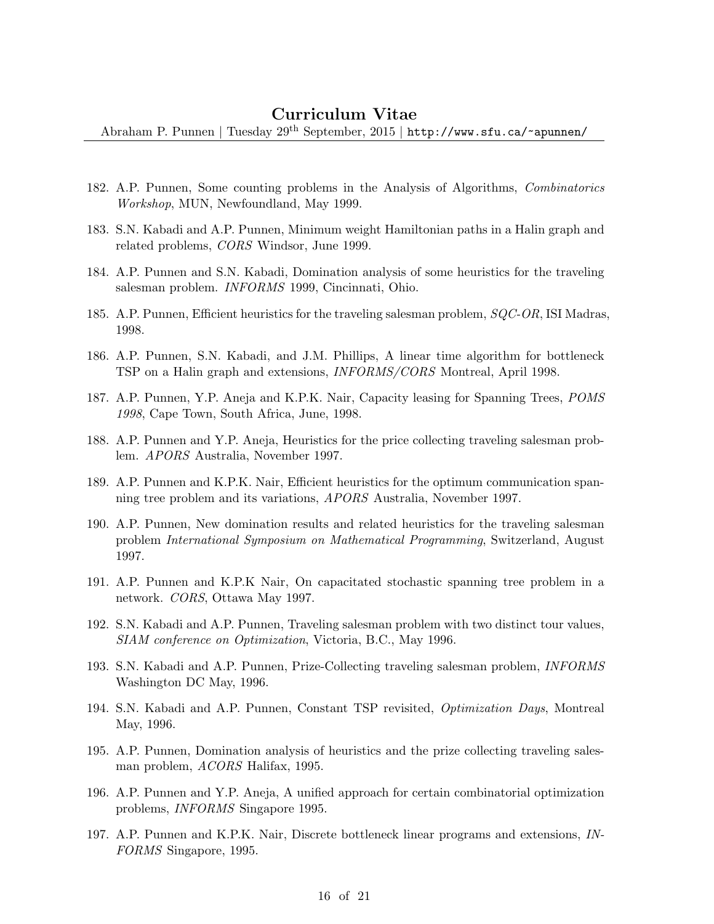- 182. A.P. Punnen, Some counting problems in the Analysis of Algorithms, Combinatorics Workshop, MUN, Newfoundland, May 1999.
- 183. S.N. Kabadi and A.P. Punnen, Minimum weight Hamiltonian paths in a Halin graph and related problems, CORS Windsor, June 1999.
- 184. A.P. Punnen and S.N. Kabadi, Domination analysis of some heuristics for the traveling salesman problem. INFORMS 1999, Cincinnati, Ohio.
- 185. A.P. Punnen, Efficient heuristics for the traveling salesman problem, SQC-OR, ISI Madras, 1998.
- 186. A.P. Punnen, S.N. Kabadi, and J.M. Phillips, A linear time algorithm for bottleneck TSP on a Halin graph and extensions, INFORMS/CORS Montreal, April 1998.
- 187. A.P. Punnen, Y.P. Aneja and K.P.K. Nair, Capacity leasing for Spanning Trees, POMS 1998, Cape Town, South Africa, June, 1998.
- 188. A.P. Punnen and Y.P. Aneja, Heuristics for the price collecting traveling salesman problem. APORS Australia, November 1997.
- 189. A.P. Punnen and K.P.K. Nair, Efficient heuristics for the optimum communication spanning tree problem and its variations, APORS Australia, November 1997.
- 190. A.P. Punnen, New domination results and related heuristics for the traveling salesman problem International Symposium on Mathematical Programming, Switzerland, August 1997.
- 191. A.P. Punnen and K.P.K Nair, On capacitated stochastic spanning tree problem in a network. CORS, Ottawa May 1997.
- 192. S.N. Kabadi and A.P. Punnen, Traveling salesman problem with two distinct tour values, SIAM conference on Optimization, Victoria, B.C., May 1996.
- 193. S.N. Kabadi and A.P. Punnen, Prize-Collecting traveling salesman problem, INFORMS Washington DC May, 1996.
- 194. S.N. Kabadi and A.P. Punnen, Constant TSP revisited, Optimization Days, Montreal May, 1996.
- 195. A.P. Punnen, Domination analysis of heuristics and the prize collecting traveling salesman problem, ACORS Halifax, 1995.
- 196. A.P. Punnen and Y.P. Aneja, A unified approach for certain combinatorial optimization problems, INFORMS Singapore 1995.
- 197. A.P. Punnen and K.P.K. Nair, Discrete bottleneck linear programs and extensions, IN-FORMS Singapore, 1995.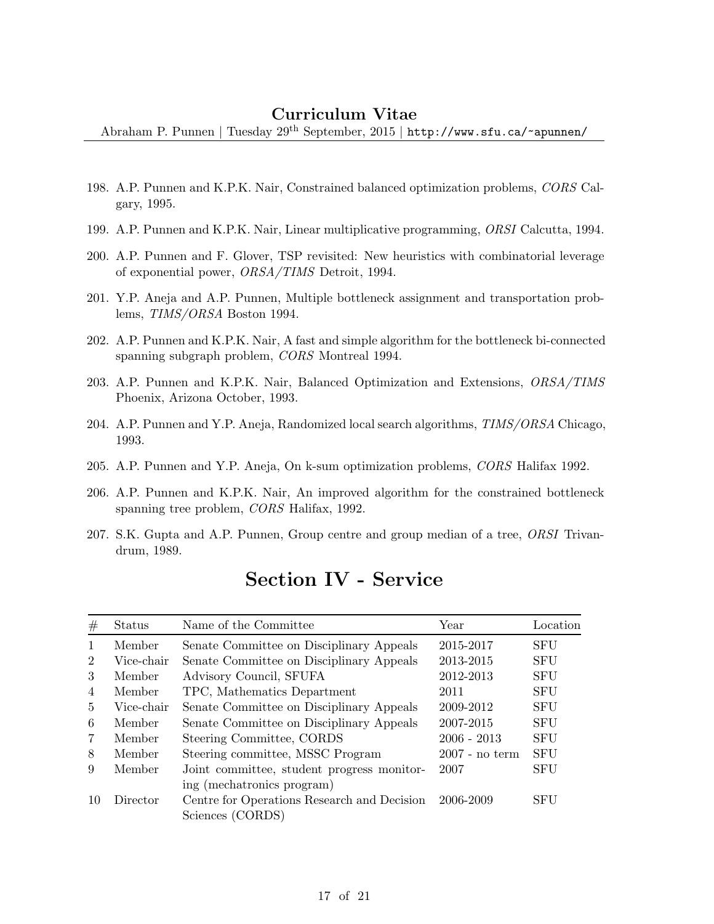Abraham P. Punnen | Tuesday  $29^{th}$  September, 2015 | http://www.sfu.ca/~apunnen/

- 198. A.P. Punnen and K.P.K. Nair, Constrained balanced optimization problems, CORS Calgary, 1995.
- 199. A.P. Punnen and K.P.K. Nair, Linear multiplicative programming, ORSI Calcutta, 1994.
- 200. A.P. Punnen and F. Glover, TSP revisited: New heuristics with combinatorial leverage of exponential power, ORSA/TIMS Detroit, 1994.
- 201. Y.P. Aneja and A.P. Punnen, Multiple bottleneck assignment and transportation problems, TIMS/ORSA Boston 1994.
- 202. A.P. Punnen and K.P.K. Nair, A fast and simple algorithm for the bottleneck bi-connected spanning subgraph problem, CORS Montreal 1994.
- 203. A.P. Punnen and K.P.K. Nair, Balanced Optimization and Extensions, ORSA/TIMS Phoenix, Arizona October, 1993.
- 204. A.P. Punnen and Y.P. Aneja, Randomized local search algorithms, TIMS/ORSA Chicago, 1993.
- 205. A.P. Punnen and Y.P. Aneja, On k-sum optimization problems, CORS Halifax 1992.
- 206. A.P. Punnen and K.P.K. Nair, An improved algorithm for the constrained bottleneck spanning tree problem, CORS Halifax, 1992.
- 207. S.K. Gupta and A.P. Punnen, Group centre and group median of a tree, ORSI Trivandrum, 1989.

| #              | Status     | Name of the Committee                       | Year             | Location   |
|----------------|------------|---------------------------------------------|------------------|------------|
| $\mathbf{1}$   | Member     | Senate Committee on Disciplinary Appeals    | 2015-2017        | <b>SFU</b> |
| $\overline{2}$ | Vice-chair | Senate Committee on Disciplinary Appeals    | 2013-2015        | <b>SFU</b> |
| 3              | Member     | Advisory Council, SFUFA                     | 2012-2013        | <b>SFU</b> |
| $\overline{4}$ | Member     | TPC, Mathematics Department                 | 2011             | <b>SFU</b> |
| $\frac{5}{2}$  | Vice-chair | Senate Committee on Disciplinary Appeals    | 2009-2012        | <b>SFU</b> |
| 6              | Member     | Senate Committee on Disciplinary Appeals    | 2007-2015        | <b>SFU</b> |
| $\overline{7}$ | Member     | Steering Committee, CORDS                   | $2006 - 2013$    | <b>SFU</b> |
| 8              | Member     | Steering committee, MSSC Program            | $2007$ - no term | <b>SFU</b> |
| 9              | Member     | Joint committee, student progress monitor-  | 2007             | <b>SFU</b> |
|                |            | ing (mechatronics program)                  |                  |            |
| 10             | Director   | Centre for Operations Research and Decision | 2006-2009        | <b>SFU</b> |
|                |            | Sciences (CORDS)                            |                  |            |

# Section IV - Service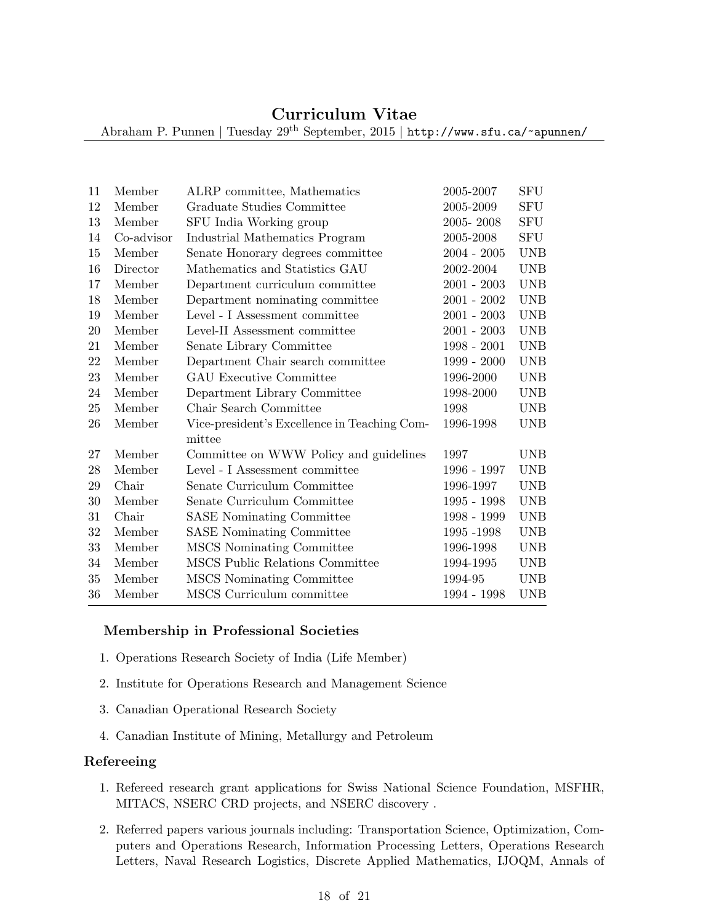Abraham P. Punnen | Tuesday 29th September, 2015 | http://www.sfu.ca/~apunnen/

| 11 | Member     | ALRP committee, Mathematics                            | 2005-2007     | <b>SFU</b>  |
|----|------------|--------------------------------------------------------|---------------|-------------|
| 12 | Member     | Graduate Studies Committee                             | 2005-2009     | ${\rm SFU}$ |
| 13 | Member     | SFU India Working group                                | 2005-2008     | <b>SFU</b>  |
| 14 | Co-advisor | Industrial Mathematics Program                         | 2005-2008     | ${\rm SFU}$ |
| 15 | Member     | Senate Honorary degrees committee                      | $2004 - 2005$ | <b>UNB</b>  |
| 16 | Director   | Mathematics and Statistics GAU                         | 2002-2004     | <b>UNB</b>  |
| 17 | Member     | Department curriculum committee                        | $2001 - 2003$ | <b>UNB</b>  |
| 18 | Member     | Department nominating committee                        | $2001 - 2002$ | <b>UNB</b>  |
| 19 | Member     | Level - I Assessment committee                         | $2001 - 2003$ | <b>UNB</b>  |
| 20 | Member     | Level-II Assessment committee                          | $2001 - 2003$ | <b>UNB</b>  |
| 21 | Member     | Senate Library Committee                               | $1998 - 2001$ | <b>UNB</b>  |
| 22 | Member     | Department Chair search committee                      | 1999 - 2000   | <b>UNB</b>  |
| 23 | Member     | <b>GAU Executive Committee</b>                         | 1996-2000     | <b>UNB</b>  |
| 24 | Member     | Department Library Committee                           | 1998-2000     | UNB         |
| 25 | Member     | Chair Search Committee                                 | 1998          | <b>UNB</b>  |
| 26 | Member     | Vice-president's Excellence in Teaching Com-<br>mittee | 1996-1998     | UNB         |
| 27 | Member     | Committee on WWW Policy and guidelines                 | 1997          | <b>UNB</b>  |
| 28 | Member     | Level - I Assessment committee                         | 1996 - 1997   | <b>UNB</b>  |
| 29 | Chair      | Senate Curriculum Committee                            | 1996-1997     | <b>UNB</b>  |
| 30 | Member     | Senate Curriculum Committee                            | 1995 - 1998   | <b>UNB</b>  |
| 31 | Chair      | <b>SASE</b> Nominating Committee                       | 1998 - 1999   | <b>UNB</b>  |
| 32 | Member     | <b>SASE</b> Nominating Committee                       | 1995 - 1998   | <b>UNB</b>  |
| 33 | Member     | MSCS Nominating Committee                              | 1996-1998     | <b>UNB</b>  |
| 34 | Member     | MSCS Public Relations Committee                        | 1994-1995     | <b>UNB</b>  |
| 35 | Member     | MSCS Nominating Committee                              | 1994-95       | <b>UNB</b>  |
| 36 | Member     | MSCS Curriculum committee                              | 1994 - 1998   | <b>UNB</b>  |
|    |            |                                                        |               |             |

#### Membership in Professional Societies

- 1. Operations Research Society of India (Life Member)
- 2. Institute for Operations Research and Management Science
- 3. Canadian Operational Research Society
- 4. Canadian Institute of Mining, Metallurgy and Petroleum

#### Refereeing

- 1. Refereed research grant applications for Swiss National Science Foundation, MSFHR, MITACS, NSERC CRD projects, and NSERC discovery .
- 2. Referred papers various journals including: Transportation Science, Optimization, Computers and Operations Research, Information Processing Letters, Operations Research Letters, Naval Research Logistics, Discrete Applied Mathematics, IJOQM, Annals of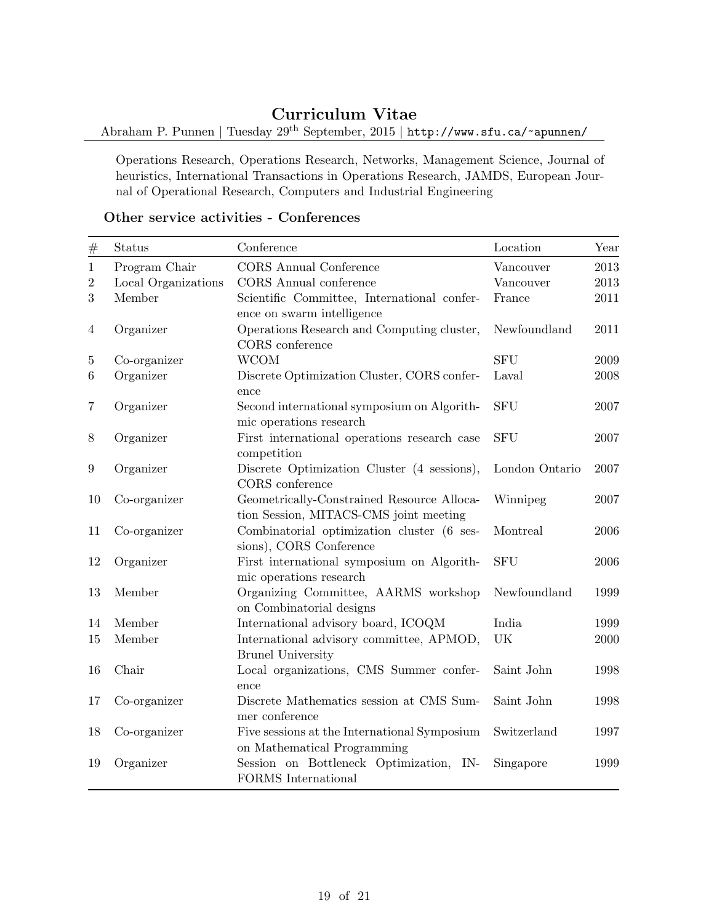Abraham P. Punnen | Tuesday 29<sup>th</sup> September, 2015 | http://www.sfu.ca/~apunnen/

Operations Research, Operations Research, Networks, Management Science, Journal of heuristics, International Transactions in Operations Research, JAMDS, European Journal of Operational Research, Computers and Industrial Engineering

### Other service activities - Conferences

| $\#$           | Status              | Conference                                                                           | Location       | Year |
|----------------|---------------------|--------------------------------------------------------------------------------------|----------------|------|
| $\mathbf{1}$   | Program Chair       | <b>CORS</b> Annual Conference                                                        | Vancouver      | 2013 |
| $\overline{2}$ | Local Organizations | CORS Annual conference                                                               | Vancouver      | 2013 |
| 3              | Member              | Scientific Committee, International confer-                                          | France         | 2011 |
|                |                     | ence on swarm intelligence                                                           |                |      |
| $\overline{4}$ | Organizer           | Operations Research and Computing cluster,                                           | Newfoundland   | 2011 |
|                |                     | CORS conference                                                                      |                |      |
| $\mathbf 5$    | Co-organizer        | <b>WCOM</b>                                                                          | <b>SFU</b>     | 2009 |
| 6              | Organizer           | Discrete Optimization Cluster, CORS confer-<br>ence                                  | Laval          | 2008 |
| $\overline{7}$ | Organizer           | Second international symposium on Algorith-<br>mic operations research               | <b>SFU</b>     | 2007 |
| 8              | Organizer           | First international operations research case<br>competition                          | <b>SFU</b>     | 2007 |
| 9              | Organizer           | Discrete Optimization Cluster (4 sessions),<br>CORS conference                       | London Ontario | 2007 |
| 10             | Co-organizer        | Geometrically-Constrained Resource Alloca-<br>tion Session, MITACS-CMS joint meeting | Winnipeg       | 2007 |
| 11             | Co-organizer        | Combinatorial optimization cluster (6 ses-<br>sions), CORS Conference                | Montreal       | 2006 |
| 12             | Organizer           | First international symposium on Algorith-<br>mic operations research                | <b>SFU</b>     | 2006 |
| 13             | Member              | Organizing Committee, AARMS workshop<br>on Combinatorial designs                     | Newfoundland   | 1999 |
| 14             | Member              | International advisory board, ICOQM                                                  | India          | 1999 |
| 15             | Member              | International advisory committee, APMOD,<br><b>Brunel University</b>                 | UK             | 2000 |
| 16             | Chair               | Local organizations, CMS Summer confer-<br>ence                                      | Saint John     | 1998 |
| 17             | Co-organizer        | Discrete Mathematics session at CMS Sum-<br>mer conference                           | Saint John     | 1998 |
| 18             | Co-organizer        | Five sessions at the International Symposium<br>on Mathematical Programming          | Switzerland    | 1997 |
| 19             | Organizer           | Session on Bottleneck Optimization,<br>IN-<br><b>FORMS</b> International             | Singapore      | 1999 |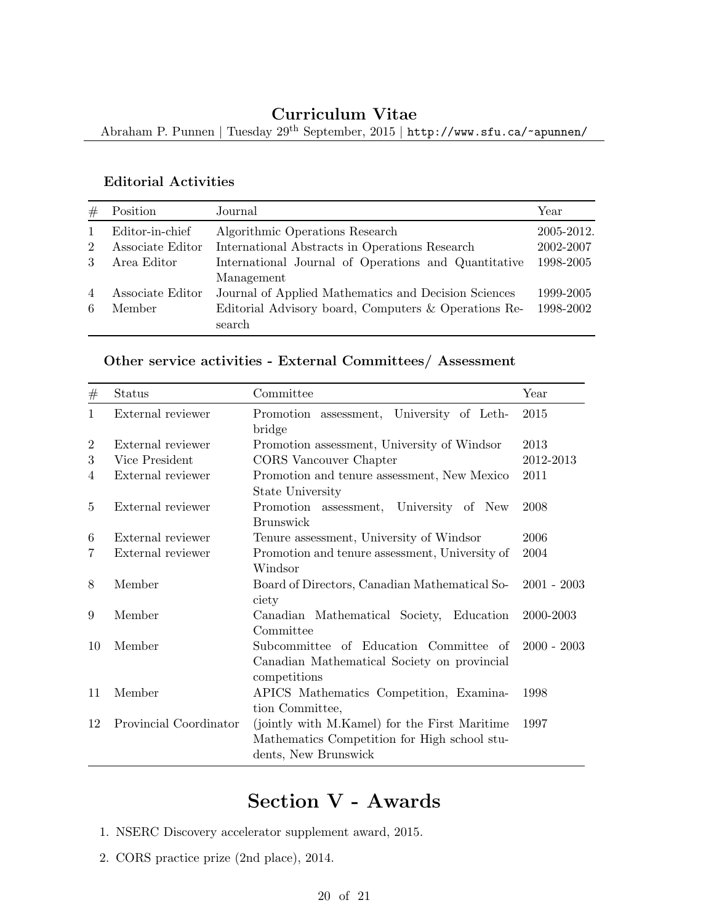Abraham P. Punnen | Tuesday  $29^{\rm th}$  September, 2015 | <code>http://www.sfu.ca/~apunnen/</code>

### Editorial Activities

| #              | Position         | Journal                                              | Year       |
|----------------|------------------|------------------------------------------------------|------------|
|                | Editor-in-chief  | Algorithmic Operations Research                      | 2005-2012. |
| $\overline{2}$ | Associate Editor | International Abstracts in Operations Research       | 2002-2007  |
| 3              | Area Editor      | International Journal of Operations and Quantitative | 1998-2005  |
|                |                  | Management                                           |            |
| $\overline{4}$ | Associate Editor | Journal of Applied Mathematics and Decision Sciences | 1999-2005  |
| 6              | Member           | Editorial Advisory board, Computers & Operations Re- | 1998-2002  |
|                |                  | search                                               |            |

## Other service activities - External Committees/ Assessment

| #              | Status                 | Committee                                                                                                             | Year          |
|----------------|------------------------|-----------------------------------------------------------------------------------------------------------------------|---------------|
| $\mathbf{1}$   | External reviewer      | Promotion assessment, University of Leth-<br>bridge                                                                   | 2015          |
| $\overline{2}$ | External reviewer      | Promotion assessment, University of Windsor                                                                           | 2013          |
| 3              | Vice President         | CORS Vancouver Chapter                                                                                                | 2012-2013     |
| 4              | External reviewer      | Promotion and tenure assessment, New Mexico<br>State University                                                       | 2011          |
| $\frac{5}{2}$  | External reviewer      | Promotion assessment, University of New<br><b>Brunswick</b>                                                           | 2008          |
| 6              | External reviewer      | Tenure assessment, University of Windsor                                                                              | 2006          |
| 7              | External reviewer      | Promotion and tenure assessment, University of                                                                        | 2004          |
|                |                        | Windsor                                                                                                               |               |
| 8              | Member                 | Board of Directors, Canadian Mathematical So-<br>ciety                                                                | $2001 - 2003$ |
| 9              | Member                 | Canadian Mathematical Society, Education<br>Committee                                                                 | 2000-2003     |
| 10             | Member                 | Subcommittee of Education Committee of<br>Canadian Mathematical Society on provincial<br>competitions                 | $2000 - 2003$ |
| 11             | Member                 | APICS Mathematics Competition, Examina-<br>tion Committee,                                                            | 1998          |
| 12             | Provincial Coordinator | (jointly with M.Kamel) for the First Maritime<br>Mathematics Competition for High school stu-<br>dents, New Brunswick | 1997          |

# Section V - Awards

- 1. NSERC Discovery accelerator supplement award, 2015.
- 2. CORS practice prize (2nd place), 2014.